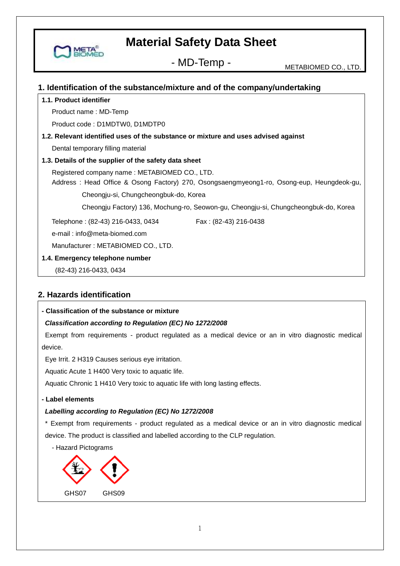

#### **1. Identification of the substance/mixture and of the company/undertaking**

#### **1.1. Product identifier**

MET

Product name : MD-Temp

Product code : D1MDTW0, D1MDTP0

#### **1.2. Relevant identified uses of the substance or mixture and uses advised against**

Dental temporary filling material

#### **1.3. Details of the supplier of the safety data sheet**

Registered company name : METABIOMED CO., LTD.

 Address : Head Office & Osong Factory) 270, Osongsaengmyeong1-ro, Osong-eup, Heungdeok-gu, Cheongju-si, Chungcheongbuk-do, Korea

Cheongju Factory) 136, Mochung-ro, Seowon-gu, Cheongju-si, Chungcheongbuk-do, Korea

Telephone : (82-43) 216-0433, 0434 Fax : (82-43) 216-0438

e-mail : info@meta-biomed.com

Manufacturer : METABIOMED CO., LTD.

#### **1.4. Emergency telephone number**

(82-43) 216-0433, 0434

## **2. Hazards identification**

#### **- Classification of the substance or mixture**

#### *Classification according to Regulation (EC) No 1272/2008*

Exempt from requirements - product regulated as a medical device or an in vitro diagnostic medical device.

Eye Irrit. 2 H319 Causes serious eye irritation.

Aquatic Acute 1 H400 Very toxic to aquatic life.

Aquatic Chronic 1 H410 Very toxic to aquatic life with long lasting effects.

#### **- Label elements**

#### *Labelling according to Regulation (EC) No 1272/2008*

\* Exempt from requirements - product regulated as a medical device or an in vitro diagnostic medical device. The product is classified and labelled according to the CLP regulation.



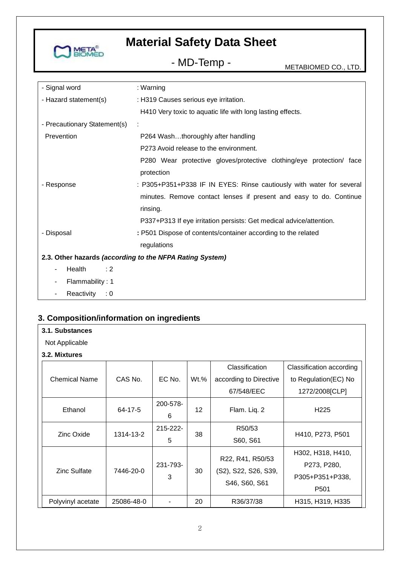

# - MD-Temp - METABIOMED CO., LTD.

| - Signal word                | : Warning                                                            |
|------------------------------|----------------------------------------------------------------------|
| - Hazard statement(s)        | : H319 Causes serious eye irritation.                                |
|                              | H410 Very toxic to aquatic life with long lasting effects.           |
| - Precautionary Statement(s) |                                                                      |
| Prevention                   | P264 Washthoroughly after handling                                   |
|                              | P273 Avoid release to the environment.                               |
|                              | P280 Wear protective gloves/protective clothing/eye protection/ face |
|                              | protection                                                           |
| - Response                   | : P305+P351+P338 IF IN EYES: Rinse cautiously with water for several |
|                              | minutes. Remove contact lenses if present and easy to do. Continue   |
|                              | rinsing.                                                             |
|                              | P337+P313 If eye irritation persists: Get medical advice/attention.  |
| - Disposal                   | : P501 Dispose of contents/container according to the related        |
|                              | regulations                                                          |
|                              | 2.3. Other hazards (according to the NFPA Rating System)             |
| Health<br>: 2                |                                                                      |
| Flammability: 1              |                                                                      |
| Reactivity<br>: 0            |                                                                      |

## **3. Composition/information on ingredients**

|  | 3.1. Substances |
|--|-----------------|
|--|-----------------|

Not Applicable

#### **3.2. Mixtures**

|                      |            |                    |         | Classification                                            | Classification according                                                |
|----------------------|------------|--------------------|---------|-----------------------------------------------------------|-------------------------------------------------------------------------|
| <b>Chemical Name</b> | CAS No.    | EC No.             | $Wt.\%$ | according to Directive                                    | to Regulation(EC) No                                                    |
|                      |            |                    |         | 67/548/EEC                                                | 1272/2008 [CLP]                                                         |
| Ethanol              | 64-17-5    | 200-578-<br>6      | 12      | Flam. Liq. 2                                              | H <sub>225</sub>                                                        |
| Zinc Oxide           | 1314-13-2  | $215 - 222 -$<br>5 | 38      | R50/53<br>S60, S61                                        | H410, P273, P501                                                        |
| Zinc Sulfate         | 7446-20-0  | 231-793-<br>3      | 30      | R22, R41, R50/53<br>(S2), S22, S26, S39,<br>S46, S60, S61 | H302, H318, H410,<br>P273, P280,<br>P305+P351+P338.<br>P <sub>501</sub> |
| Polyvinyl acetate    | 25086-48-0 |                    | 20      | R36/37/38                                                 | H315, H319, H335                                                        |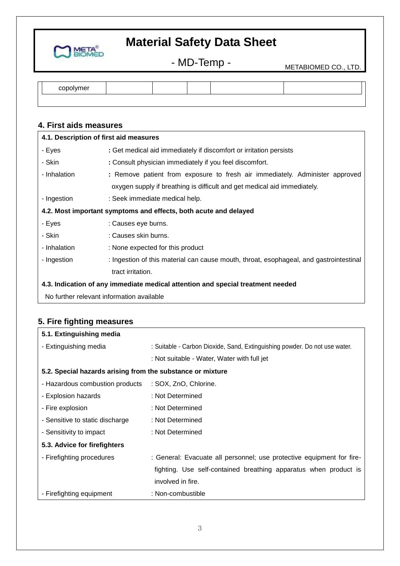

- MD-Temp - METABIOMED CO., LTD.

| copr<br>71 V 71<br>וסו |  |  |  |
|------------------------|--|--|--|
|                        |  |  |  |

## **4. First aids measures**

| 4.1. Description of first aid measures                                          |                                                                                        |  |  |
|---------------------------------------------------------------------------------|----------------------------------------------------------------------------------------|--|--|
| - Eyes                                                                          | : Get medical aid immediately if discomfort or irritation persists                     |  |  |
| - Skin                                                                          | : Consult physician immediately if you feel discomfort.                                |  |  |
| - Inhalation                                                                    | : Remove patient from exposure to fresh air immediately. Administer approved           |  |  |
|                                                                                 | oxygen supply if breathing is difficult and get medical aid immediately.               |  |  |
| - Ingestion                                                                     | : Seek immediate medical help.                                                         |  |  |
| 4.2. Most important symptoms and effects, both acute and delayed                |                                                                                        |  |  |
| - Eyes                                                                          | : Causes eye burns.                                                                    |  |  |
| - Skin                                                                          | : Causes skin burns.                                                                   |  |  |
| - Inhalation                                                                    | : None expected for this product                                                       |  |  |
| - Ingestion                                                                     | : Ingestion of this material can cause mouth, throat, esophageal, and gastrointestinal |  |  |
|                                                                                 | tract irritation.                                                                      |  |  |
| 4.3. Indication of any immediate medical attention and special treatment needed |                                                                                        |  |  |
| No further relevant information available                                       |                                                                                        |  |  |

## **5. Fire fighting measures**

| 5.1. Extinguishing media                                   |                                                                            |  |  |
|------------------------------------------------------------|----------------------------------------------------------------------------|--|--|
| - Extinguishing media                                      | : Suitable - Carbon Dioxide, Sand, Extinguishing powder. Do not use water. |  |  |
|                                                            | : Not suitable - Water, Water with full jet                                |  |  |
| 5.2. Special hazards arising from the substance or mixture |                                                                            |  |  |
| - Hazardous combustion products                            | : SOX, ZnO, Chlorine.                                                      |  |  |
| - Explosion hazards                                        | : Not Determined                                                           |  |  |
| - Fire explosion                                           | : Not Determined                                                           |  |  |
| - Sensitive to static discharge                            | : Not Determined                                                           |  |  |
| - Sensitivity to impact                                    | : Not Determined                                                           |  |  |
| 5.3. Advice for firefighters                               |                                                                            |  |  |
| - Firefighting procedures                                  | : General: Evacuate all personnel; use protective equipment for fire-      |  |  |
|                                                            | fighting. Use self-contained breathing apparatus when product is           |  |  |
|                                                            | involved in fire.                                                          |  |  |
| - Firefighting equipment                                   | : Non-combustible                                                          |  |  |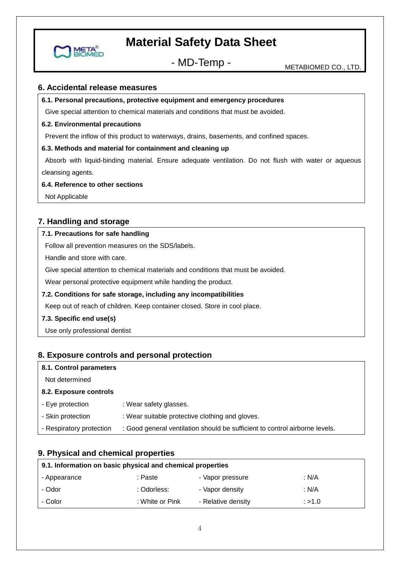

- MD-Temp - METABIOMED CO., LTD.

#### **6. Accidental release measures**

#### **6.1. Personal precautions, protective equipment and emergency procedures**

Give special attention to chemical materials and conditions that must be avoided.

#### **6.2. Environmental precautions**

Prevent the inflow of this product to waterways, drains, basements, and confined spaces.

#### **6.3. Methods and material for containment and cleaning up**

Absorb with liquid-binding material. Ensure adequate ventilation. Do not flush with water or aqueous cleansing agents.

#### **6.4. Reference to other sections**

Not Applicable

## **7. Handling and storage**

#### **7.1. Precautions for safe handling**

Follow all prevention measures on the SDS/labels.

Handle and store with care.

Give special attention to chemical materials and conditions that must be avoided.

Wear personal protective equipment while handing the product.

#### **7.2. Conditions for safe storage, including any incompatibilities**

Keep out of reach of children. Keep container closed. Store in cool place.

#### **7.3. Specific end use(s)**

Use only professional dentist

#### **8. Exposure controls and personal protection**

| : Wear safety glasses.                                                      |
|-----------------------------------------------------------------------------|
| : Wear suitable protective clothing and gloves.                             |
| : Good general ventilation should be sufficient to control airborne levels. |
|                                                                             |

## **9. Physical and chemical properties**

| 9.1. Information on basic physical and chemical properties |                 |                    |        |  |  |
|------------------------------------------------------------|-----------------|--------------------|--------|--|--|
| - Appearance                                               | : Paste         | - Vapor pressure   | : N/A  |  |  |
| - Odor                                                     | : Odorless:     | - Vapor density    | : N/A  |  |  |
| - Color                                                    | : White or Pink | - Relative density | : >1.0 |  |  |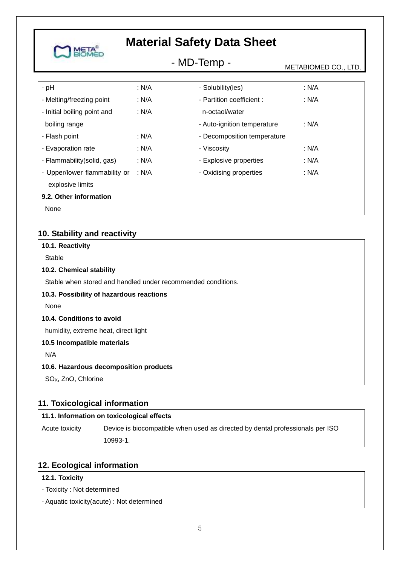|                                                   | <b>Material Safety Data Sheet</b> |                             |                      |  |
|---------------------------------------------------|-----------------------------------|-----------------------------|----------------------|--|
|                                                   | - MD-Temp -                       |                             | METABIOMED CO., LTD. |  |
| $-$ pH                                            | : N/A                             | - Solubility(ies)           | : N/A                |  |
| - Melting/freezing point                          | : N/A                             | - Partition coefficient:    | : N/A                |  |
| - Initial boiling point and                       | : N/A                             | n-octaol/water              |                      |  |
| boiling range                                     |                                   | - Auto-ignition temperature | : N/A                |  |
| - Flash point                                     | : N/A                             | - Decomposition temperature |                      |  |
| - Evaporation rate                                | : N/A                             | - Viscosity                 | : N/A                |  |
| - Flammability(solid, gas)                        | : N/A                             | - Explosive properties      | : N/A                |  |
| - Upper/lower flammability or<br>explosive limits | : N/A                             | - Oxidising properties      | : N/A                |  |
| 9.2. Other information                            |                                   |                             |                      |  |
| None                                              |                                   |                             |                      |  |

## **10. Stability and reactivity**

| 10.1. Reactivity                                             |
|--------------------------------------------------------------|
| Stable                                                       |
| 10.2. Chemical stability                                     |
| Stable when stored and handled under recommended conditions. |
| 10.3. Possibility of hazardous reactions                     |
| None                                                         |
| 10.4. Conditions to avoid                                    |
| humidity, extreme heat, direct light                         |
| 10.5 Incompatible materials                                  |
| N/A                                                          |
| 10.6. Hazardous decomposition products                       |
| SO <sub>x</sub> , ZnO, Chlorine                              |

## **11. Toxicological information**

| 11.1. Information on toxicological effects |                                                                               |  |  |
|--------------------------------------------|-------------------------------------------------------------------------------|--|--|
| Acute toxicity                             | Device is biocompatible when used as directed by dental professionals per ISO |  |  |
|                                            | 10993-1.                                                                      |  |  |

## **12. Ecological information**

## **12.1. Toxicity**

- Toxicity : Not determined
- Aquatic toxicity(acute) : Not determined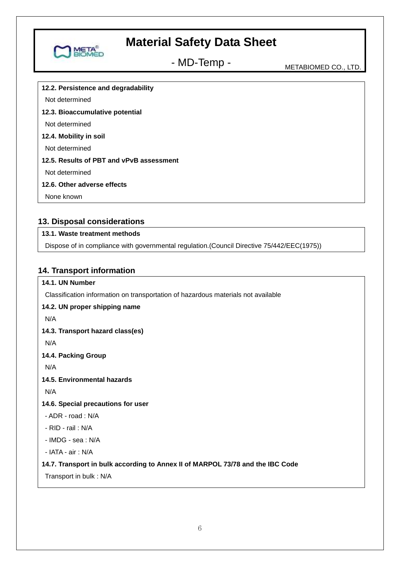

# - MD-Temp - METABIOMED CO., LTD.

**12.2. Persistence and degradability** Not determined **12.3. Bioaccumulative potential** Not determined **12.4. Mobility in soil** Not determined **12.5. Results of PBT and vPvB assessment** Not determined **12.6. Other adverse effects** None known

## **13. Disposal considerations**

## **13.1. Waste treatment methods**

Dispose of in compliance with governmental regulation.(Council Directive 75/442/EEC(1975))

## **14. Transport information**

## **14.1. UN Number**

Classification information on transportation of hazardous materials not available

#### **14.2. UN proper shipping name**

N/A

#### **14.3. Transport hazard class(es)**

N/A

## **14.4. Packing Group**

N/A

#### **14.5. Environmental hazards**

N/A

#### **14.6. Special precautions for user**

- ADR - road : N/A

- RID - rail : N/A

 $-$  IMDG - sea  $\cdot$  N/A

- IATA - air : N/A

#### **14.7. Transport in bulk according to Annex II of MARPOL 73/78 and the IBC Code**

Transport in bulk : N/A